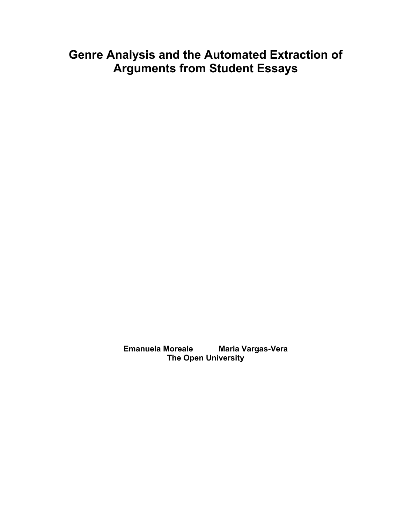# **Genre Analysis and the Automated Extraction of Arguments from Student Essays**

**Emanuela Moreale Maria Vargas-Vera The Open University**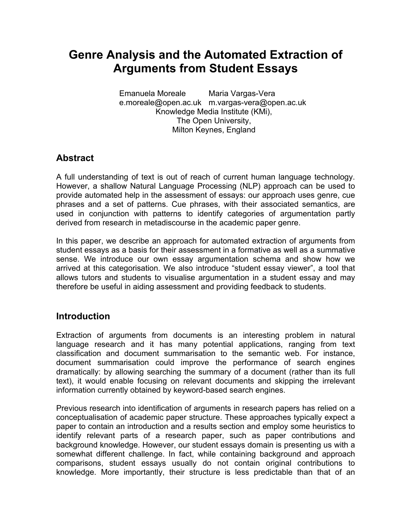# **Genre Analysis and the Automated Extraction of Arguments from Student Essays**

Emanuela Moreale e.moreale@open.ac.uk m.vargas-vera@open.ac.uk Maria Vargas-Vera Knowledge Media Institute (KMi), The Open University, Milton Keynes, England

## **Abstract**

A full understanding of text is out of reach of current human language technology. However, a shallow Natural Language Processing (NLP) approach can be used to provide automated help in the assessment of essays: our approach uses genre, cue phrases and a set of patterns. Cue phrases, with their associated semantics, are used in conjunction with patterns to identify categories of argumentation partly derived from research in metadiscourse in the academic paper genre.

In this paper, we describe an approach for automated extraction of arguments from student essays as a basis for their assessment in a formative as well as a summative sense. We introduce our own essay argumentation schema and show how we arrived at this categorisation. We also introduce "student essay viewer", a tool that allows tutors and students to visualise argumentation in a student essay and may therefore be useful in aiding assessment and providing feedback to students.

# **Introduction**

Extraction of arguments from documents is an interesting problem in natural language research and it has many potential applications, ranging from text classification and document summarisation to the semantic web. For instance, document summarisation could improve the performance of search engines dramatically: by allowing searching the summary of a document (rather than its full text), it would enable focusing on relevant documents and skipping the irrelevant information currently obtained by keyword-based search engines.

Previous research into identification of arguments in research papers has relied on a conceptualisation of academic paper structure. These approaches typically expect a paper to contain an introduction and a results section and employ some heuristics to identify relevant parts of a research paper, such as paper contributions and background knowledge. However, our student essays domain is presenting us with a somewhat different challenge. In fact, while containing background and approach comparisons, student essays usually do not contain original contributions to knowledge. More importantly, their structure is less predictable than that of an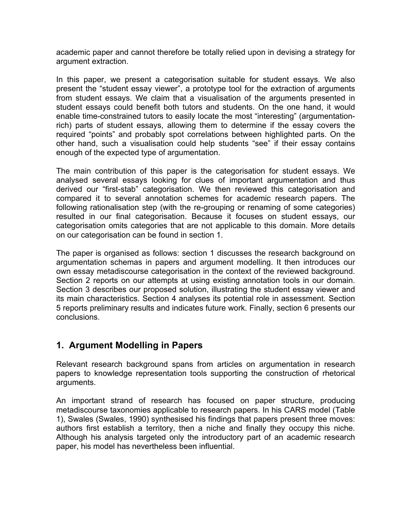academic paper and cannot therefore be totally relied upon in devising a strategy for argument extraction.

In this paper, we present a categorisation suitable for student essays. We also present the "student essay viewer", a prototype tool for the extraction of arguments from student essays. We claim that a visualisation of the arguments presented in student essays could benefit both tutors and students. On the one hand, it would enable time-constrained tutors to easily locate the most "interesting" (argumentationrich) parts of student essays, allowing them to determine if the essay covers the required "points" and probably spot correlations between highlighted parts. On the other hand, such a visualisation could help students "see" if their essay contains enough of the expected type of argumentation.

The main contribution of this paper is the categorisation for student essays. We analysed several essays looking for clues of important argumentation and thus derived our "first-stab" categorisation. We then reviewed this categorisation and compared it to several annotation schemes for academic research papers. The following rationalisation step (with the re-grouping or renaming of some categories) resulted in our final categorisation. Because it focuses on student essays, our categorisation omits categories that are not applicable to this domain. More details on our categorisation can be found in section 1.

The paper is organised as follows: section 1 discusses the research background on argumentation schemas in papers and argument modelling. It then introduces our own essay metadiscourse categorisation in the context of the reviewed background. Section 2 reports on our attempts at using existing annotation tools in our domain. Section 3 describes our proposed solution, illustrating the student essay viewer and its main characteristics. Section 4 analyses its potential role in assessment. Section 5 reports preliminary results and indicates future work. Finally, section 6 presents our conclusions.

### **1. Argument Modelling in Papers**

Relevant research background spans from articles on argumentation in research papers to knowledge representation tools supporting the construction of rhetorical arguments.

An important strand of research has focused on paper structure, producing metadiscourse taxonomies applicable to research papers. In his CARS model (Table 1), Swales (Swales, 1990) synthesised his findings that papers present three moves: authors first establish a territory, then a niche and finally they occupy this niche. Although his analysis targeted only the introductory part of an academic research paper, his model has nevertheless been influential.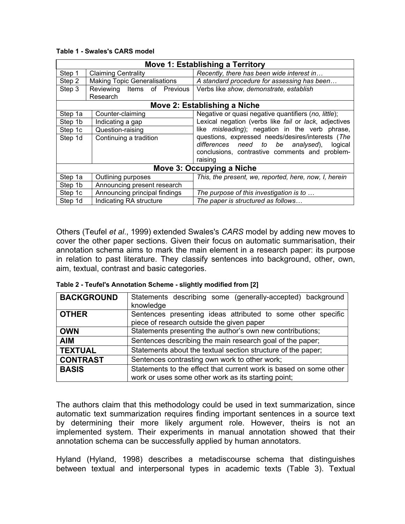|                           | Move 1: Establishing a Territory    |                                                        |  |  |  |
|---------------------------|-------------------------------------|--------------------------------------------------------|--|--|--|
| Step 1                    | <b>Claiming Centrality</b>          | Recently, there has been wide interest in              |  |  |  |
| Step 2                    | <b>Making Topic Generalisations</b> | A standard procedure for assessing has been            |  |  |  |
| Step 3                    | Reviewing Items of Previous         | Verbs like show, demonstrate, establish                |  |  |  |
|                           | Research                            |                                                        |  |  |  |
|                           | Move 2: Establishing a Niche        |                                                        |  |  |  |
| Step 1a                   | Counter-claiming                    | Negative or quasi negative quantifiers (no, little);   |  |  |  |
| Step 1b                   | Indicating a gap                    | Lexical negation (verbs like fail or lack, adjectives  |  |  |  |
| Step 1c                   | Question-raising                    | like <i>misleading</i> ); negation in the verb phrase, |  |  |  |
| Step 1d                   | Continuing a tradition              | questions, expressed needs/desires/interests (The      |  |  |  |
|                           |                                     | differences need to be analysed), logical              |  |  |  |
|                           |                                     | conclusions, contrastive comments and problem-         |  |  |  |
|                           |                                     | raising                                                |  |  |  |
| Move 3: Occupying a Niche |                                     |                                                        |  |  |  |
| Step 1a                   | Outlining purposes                  | This, the present, we, reported, here, now, I, herein  |  |  |  |
| Step 1b                   | Announcing present research         |                                                        |  |  |  |
| Step 1c                   | Announcing principal findings       | The purpose of this investigation is to                |  |  |  |
| Step 1d                   | Indicating RA structure             | The paper is structured as follows                     |  |  |  |

#### **Table 1 - Swales's CARS model**

Others (Teufel *et al*., 1999) extended Swales's *CARS* model by adding new moves to cover the other paper sections. Given their focus on automatic summarisation, their annotation schema aims to mark the main element in a research paper: its purpose in relation to past literature. They classify sentences into background, other, own, aim, textual, contrast and basic categories.

|  | Table 2 - Teufel's Annotation Scheme - slightly modified from [2] |  |  |
|--|-------------------------------------------------------------------|--|--|
|  |                                                                   |  |  |

| <b>BACKGROUND</b> | Statements describing some (generally-accepted) background<br>knowledge                                   |  |  |
|-------------------|-----------------------------------------------------------------------------------------------------------|--|--|
| <b>OTHER</b>      | Sentences presenting ideas attributed to some other specific<br>piece of research outside the given paper |  |  |
| <b>OWN</b>        | Statements presenting the author's own new contributions;                                                 |  |  |
| <b>AIM</b>        | Sentences describing the main research goal of the paper;                                                 |  |  |
| <b>TEXTUAL</b>    | Statements about the textual section structure of the paper;                                              |  |  |
| <b>CONTRAST</b>   | Sentences contrasting own work to other work;                                                             |  |  |
| <b>BASIS</b>      | Statements to the effect that current work is based on some other                                         |  |  |
|                   | work or uses some other work as its starting point;                                                       |  |  |

The authors claim that this methodology could be used in text summarization, since automatic text summarization requires finding important sentences in a source text by determining their more likely argument role. However, theirs is not an implemented system. Their experiments in manual annotation showed that their annotation schema can be successfully applied by human annotators.

Hyland (Hyland, 1998) describes a metadiscourse schema that distinguishes between textual and interpersonal types in academic texts (Table 3). Textual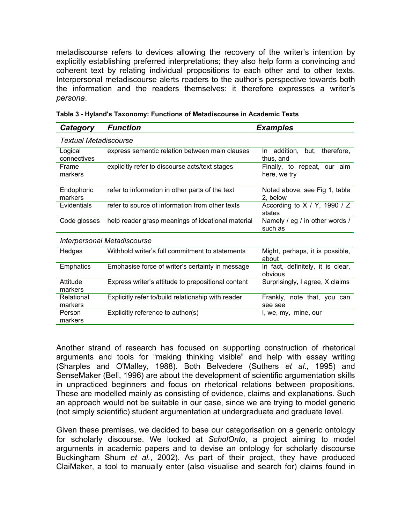metadiscourse refers to devices allowing the recovery of the writer's intention by explicitly establishing preferred interpretations; they also help form a convincing and coherent text by relating individual propositions to each other and to other texts. Interpersonal metadiscourse alerts readers to the author's perspective towards both the information and the readers themselves: it therefore expresses a writer's *persona*.

| Category                           | <b>Function</b>                                    | <b>Examples</b>                                 |  |  |  |
|------------------------------------|----------------------------------------------------|-------------------------------------------------|--|--|--|
| Textual Metadiscourse              |                                                    |                                                 |  |  |  |
| Logical<br>connectives             | express semantic relation between main clauses     | but,<br>therefore,<br>In addition,<br>thus, and |  |  |  |
| Frame<br>markers                   | explicitly refer to discourse acts/text stages     | Finally, to repeat, our aim<br>here, we try     |  |  |  |
| Endophoric<br>markers              | refer to information in other parts of the text    | Noted above, see Fig 1, table<br>2, below       |  |  |  |
| Evidentials                        | refer to source of information from other texts    | According to $X / Y$ , 1990 / Z<br>states       |  |  |  |
| Code glosses                       | help reader grasp meanings of ideational material  | Namely / eg / in other words /<br>such as       |  |  |  |
| <b>Interpersonal Metadiscourse</b> |                                                    |                                                 |  |  |  |
| Hedges                             | Withhold writer's full commitment to statements    | Might, perhaps, it is possible,<br>about        |  |  |  |
| Emphatics                          | Emphasise force of writer's certainty in message   | In fact, definitely, it is clear,<br>obvious    |  |  |  |
| Attitude<br>markers                | Express writer's attitude to prepositional content | Surprisingly, I agree, X claims                 |  |  |  |
| Relational<br>markers              | Explicitly refer to/build relationship with reader | Frankly, note that, you can<br>see see          |  |  |  |
| Person<br>markers                  | Explicitly reference to author(s)                  | I, we, my, mine, our                            |  |  |  |

Another strand of research has focused on supporting construction of rhetorical arguments and tools for "making thinking visible" and help with essay writing (Sharples and O'Malley, 1988). Both Belvedere (Suthers *et al*., 1995) and SenseMaker (Bell, 1996) are about the development of scientific argumentation skills in unpracticed beginners and focus on rhetorical relations between propositions. These are modelled mainly as consisting of evidence, claims and explanations. Such an approach would not be suitable in our case, since we are trying to model generic (not simply scientific) student argumentation at undergraduate and graduate level.

Given these premises, we decided to base our categorisation on a generic ontology for scholarly discourse. We looked at *ScholOnto*, a project aiming to model arguments in academic papers and to devise an ontology for scholarly discourse Buckingham Shum *et al.*, 2002). As part of their project, they have produced ClaiMaker, a tool to manually enter (also visualise and search for) claims found in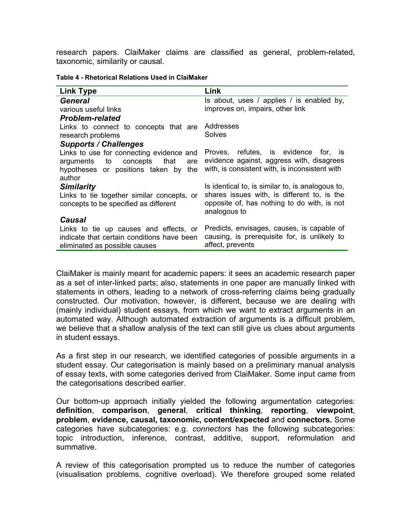research papers. ClaiMaker claims are classified as general, problem-related, taxonomic, similarity or causal.

| Table 4 - Rhetorical Relations Used in ClaiMaker |  |
|--------------------------------------------------|--|
|--------------------------------------------------|--|

| <b>Link Type</b>                           | Link                                                        |  |
|--------------------------------------------|-------------------------------------------------------------|--|
| General                                    | Is about, uses / applies / is enabled by,                   |  |
| various useful links                       | improves on, impairs, other link                            |  |
| <b>Problem-related</b>                     |                                                             |  |
| Links to connect to concepts that are      | Addresses                                                   |  |
| research problems                          | Solves                                                      |  |
| <b>Supports / Challenges</b>               |                                                             |  |
| Links to use for connecting evidence and   | Proves, refutes, is evidence<br>for. is                     |  |
| arguments to concepts that<br>are          | evidence against, aggress with, disagrees                   |  |
| hypotheses or positions taken by<br>the    | with, is consistent with, is inconsistent with              |  |
| author                                     |                                                             |  |
| <b>Similarity</b>                          | Is identical to, is similar to, is analogous to,            |  |
| Links to tie together similar concepts, or | shares issues with, is different to, is the                 |  |
| concepts to be specified as different      | opposite of, has nothing to do with, is not<br>analogous to |  |
| Causal                                     |                                                             |  |
| Links to tie up causes and effects, or     | Predicts, envisages, causes, is capable of                  |  |
| indicate that certain conditions have been | causing, is prerequisite for, is unlikely to                |  |
| eliminated as possible causes              | affect, prevents                                            |  |
|                                            |                                                             |  |

ClaiMaker is mainly meant for academic papers: it sees an academic research paper as a set of inter-linked parts; also, statements in one paper are manually linked with statements in others, leading to a network of cross-referring claims being gradually constructed. Our motivation, however, is different, because we are dealing with (mainly individual) student essays, from which we want to extract arguments in an automated way. Although automated extraction of arguments is a difficult problem, we believe that a shallow analysis of the text can still give us clues about arguments in student essays.

As a first step in our research, we identified categories of possible arguments in a student essay. Our categorisation is mainly based on a preliminary manual analysis of essay texts, with some categories derived from ClaiMaker. Some input came from the categorisations described earlier.

Our bottom-up approach initially yielded the following argumentation categories: **definition**, **comparison**, **general**, **critical thinking**, **reporting**, **viewpoint**, **problem**, **evidence, causal, taxonomic, content/expected** and **connectors.** Some categories have subcategories: e.g. *connectors* has the following subcategories: topic introduction, inference, contrast, additive, support, reformulation and summative.

A review of this categorisation prompted us to reduce the number of categories (visualisation problems, cognitive overload). We therefore grouped some related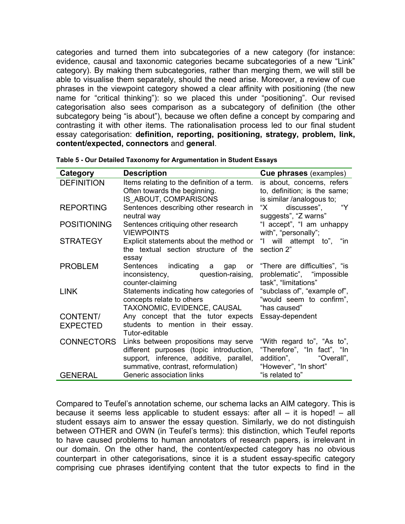categories and turned them into subcategories of a new category (for instance: evidence, causal and taxonomic categories became subcategories of a new "Link" category). By making them subcategories, rather than merging them, we will still be able to visualise them separately, should the need arise. Moreover, a review of cue phrases in the viewpoint category showed a clear affinity with positioning (the new name for "critical thinking"): so we placed this under "positioning". Our revised categorisation also sees comparison as a subcategory of definition (the other subcategory being "is about"), because we often define a concept by comparing and contrasting it with other items. The rationalisation process led to our final student essay categorisation: **definition, reporting, positioning, strategy, problem, link, content/expected, connectors** and **general**.

| Category           | <b>Description</b>                                                                                                                                                | <b>Cue phrases</b> (examples)                                                                                  |
|--------------------|-------------------------------------------------------------------------------------------------------------------------------------------------------------------|----------------------------------------------------------------------------------------------------------------|
| <b>DEFINITION</b>  | Items relating to the definition of a term.<br>Often towards the beginning.<br>IS ABOUT, COMPARISONS                                                              | is about, concerns, refers<br>to, definition; is the same;<br>is similar /analogous to;                        |
| <b>REPORTING</b>   | Sentences describing other research in<br>neutral way                                                                                                             | "Y<br>discusses",<br>"X<br>suggests", "Z warns"                                                                |
| <b>POSITIONING</b> | Sentences critiquing other research<br><b>VIEWPOINTS</b>                                                                                                          | "I accept", "I am unhappy<br>with", "personally";                                                              |
| <b>STRATEGY</b>    | Explicit statements about the method or<br>the textual section structure of the<br>essay                                                                          | "I will attempt to", "in<br>section 2"                                                                         |
| <b>PROBLEM</b>     | indicating<br>Sentences<br>а<br>gap<br>or<br>question-raising,<br>inconsistency,<br>counter-claiming                                                              | "There are difficulties", "is"<br>problematic", "impossible<br>task", "limitations"                            |
| <b>LINK</b>        | Statements indicating how categories of<br>concepts relate to others<br>TAXONOMIC, EVIDENCE, CAUSAL                                                               | "subclass of", "example of",<br>"would seem to confirm",<br>"has caused"                                       |
| CONTENT/           | Any concept that the tutor expects                                                                                                                                | Essay-dependent                                                                                                |
| <b>EXPECTED</b>    | students to mention in their essay.<br>Tutor-editable                                                                                                             |                                                                                                                |
| <b>CONNECTORS</b>  | Links between propositions may serve<br>different purposes (topic introduction,<br>support, inference, additive, parallel,<br>summative, contrast, reformulation) | "With regard to", "As to",<br>"Therefore", "In fact", "In<br>addition",<br>"Overall",<br>"However", "In short" |
| <b>GENERAL</b>     | Generic association links                                                                                                                                         | "is related to"                                                                                                |

**Table 5 - Our Detailed Taxonomy for Argumentation in Student Essays** 

Compared to Teufel's annotation scheme, our schema lacks an AIM category. This is because it seems less applicable to student essays: after all – it is hoped! – all student essays aim to answer the essay question. Similarly, we do not distinguish between OTHER and OWN (in Teufel's terms): this distinction, which Teufel reports to have caused problems to human annotators of research papers, is irrelevant in our domain. On the other hand, the content/expected category has no obvious counterpart in other categorisations, since it is a student essay-specific category comprising cue phrases identifying content that the tutor expects to find in the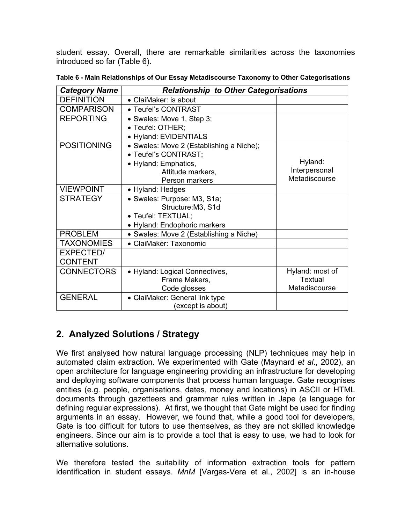student essay. Overall, there are remarkable similarities across the taxonomies introduced so far (Table 6).

| <b>Relationship to Other Categorisations</b><br><b>Category Name</b> |                                          |                 |
|----------------------------------------------------------------------|------------------------------------------|-----------------|
| <b>DEFINITION</b>                                                    | • ClaiMaker: is about                    |                 |
| <b>COMPARISON</b>                                                    | • Teufel's CONTRAST                      |                 |
| <b>REPORTING</b>                                                     | • Swales: Move 1, Step 3;                |                 |
|                                                                      | • Teufel: OTHER;                         |                 |
|                                                                      | • Hyland: EVIDENTIALS                    |                 |
| <b>POSITIONING</b>                                                   | • Swales: Move 2 (Establishing a Niche); |                 |
|                                                                      | • Teufel's CONTRAST;                     |                 |
|                                                                      | • Hyland: Emphatics,                     | Hyland:         |
|                                                                      | Attitude markers,                        | Interpersonal   |
|                                                                      | Person markers                           | Metadiscourse   |
| <b>VIEWPOINT</b>                                                     | • Hyland: Hedges                         |                 |
| <b>STRATEGY</b>                                                      | • Swales: Purpose: M3, S1a;              |                 |
|                                                                      | Structure: M3, S1d                       |                 |
|                                                                      | • Teufel: TEXTUAL;                       |                 |
|                                                                      | • Hyland: Endophoric markers             |                 |
| <b>PROBLEM</b>                                                       | • Swales: Move 2 (Establishing a Niche)  |                 |
| <b>TAXONOMIES</b>                                                    | • ClaiMaker: Taxonomic                   |                 |
| <b>EXPECTED/</b>                                                     |                                          |                 |
| <b>CONTENT</b>                                                       |                                          |                 |
| <b>CONNECTORS</b>                                                    | • Hyland: Logical Connectives,           | Hyland: most of |
|                                                                      | Frame Makers,                            | Textual         |
|                                                                      | Code glosses                             | Metadiscourse   |
| <b>GENERAL</b>                                                       | • ClaiMaker: General link type           |                 |
|                                                                      | (except is about)                        |                 |

**Table 6 - Main Relationships of Our Essay Metadiscourse Taxonomy to Other Categorisations** 

# **2. Analyzed Solutions / Strategy**

We first analysed how natural language processing (NLP) techniques may help in automated claim extraction. We experimented with Gate (Maynard *et al*., 2002), an open architecture for language engineering providing an infrastructure for developing and deploying software components that process human language. Gate recognises entities (e.g. people, organisations, dates, money and locations) in ASCII or HTML documents through gazetteers and grammar rules written in Jape (a language for defining regular expressions). At first, we thought that Gate might be used for finding arguments in an essay. However, we found that, while a good tool for developers, Gate is too difficult for tutors to use themselves, as they are not skilled knowledge engineers. Since our aim is to provide a tool that is easy to use, we had to look for alternative solutions.

We therefore tested the suitability of information extraction tools for pattern identification in student essays. *MnM* [Vargas-Vera et al., 2002] is an in-house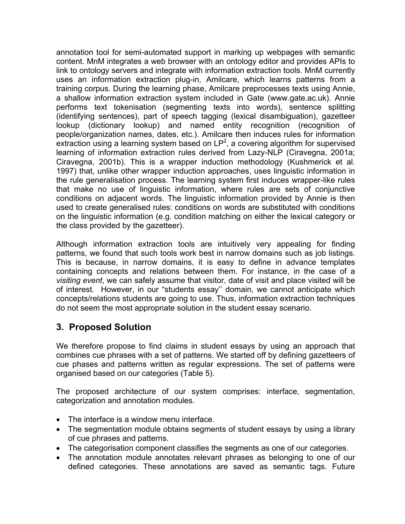annotation tool for semi-automated support in marking up webpages with semantic content. MnM integrates a web browser with an ontology editor and provides APIs to link to ontology servers and integrate with information extraction tools. MnM currently uses an information extraction plug-in, Amilcare, which learns patterns from a training corpus. During the learning phase, Amilcare preprocesses texts using Annie, a shallow information extraction system included in Gate (www.gate.ac.uk). Annie performs text tokenisation (segmenting texts into words), sentence splitting (identifying sentences), part of speech tagging (lexical disambiguation), gazetteer lookup (dictionary lookup) and named entity recognition (recognition of people/organization names, dates, etc.). Amilcare then induces rules for information  $\overline{\text{extraction}}$  using a learning system based on LP<sup>2</sup>, a covering algorithm for supervised learning of information extraction rules derived from Lazy-NLP (Ciravegna, 2001a; Ciravegna, 2001b). This is a wrapper induction methodology (Kushmerick et al. 1997) that, unlike other wrapper induction approaches, uses linguistic information in the rule generalisation process. The learning system first induces wrapper-like rules that make no use of linguistic information, where rules are sets of conjunctive conditions on adjacent words. The linguistic information provided by Annie is then used to create generalised rules: conditions on words are substituted with conditions on the linguistic information (e.g. condition matching on either the lexical category or the class provided by the gazetteer).

Although information extraction tools are intuitively very appealing for finding patterns, we found that such tools work best in narrow domains such as job listings. This is because, in narrow domains, it is easy to define in advance templates containing concepts and relations between them. For instance, in the case of a *visiting event*, we can safely assume that visitor, date of visit and place visited will be of interest. However, in our "students essay'' domain, we cannot anticipate which concepts/relations students are going to use. Thus, information extraction techniques do not seem the most appropriate solution in the student essay scenario.

# **3. Proposed Solution**

We therefore propose to find claims in student essays by using an approach that combines cue phrases with a set of patterns. We started off by defining gazetteers of cue phases and patterns written as regular expressions. The set of patterns were organised based on our categories (Table 5).

The proposed architecture of our system comprises: interface, segmentation, categorization and annotation modules.

- The interface is a window menu interface.
- The segmentation module obtains segments of student essays by using a library of cue phrases and patterns.
- The categorisation component classifies the segments as one of our categories.
- The annotation module annotates relevant phrases as belonging to one of our defined categories. These annotations are saved as semantic tags. Future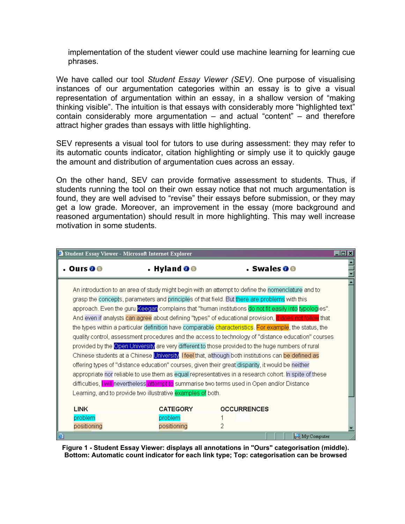implementation of the student viewer could use machine learning for learning cue phrases.

We have called our tool *Student Essay Viewer (SEV)*. One purpose of visualising instances of our argumentation categories within an essay is to give a visual representation of argumentation within an essay, in a shallow version of "making thinking visible". The intuition is that essays with considerably more "highlighted text" contain considerably more argumentation – and actual "content" – and therefore attract higher grades than essays with little highlighting.

SEV represents a visual tool for tutors to use during assessment: they may refer to its automatic counts indicator, citation highlighting or simply use it to quickly gauge the amount and distribution of argumentation cues across an essay.

On the other hand, SEV can provide formative assessment to students. Thus, if students running the tool on their own essay notice that not much argumentation is found, they are well advised to "revise" their essays before submission, or they may get a low grade. Moreover, an improvement in the essay (more background and reasoned argumentation) should result in more highlighting. This may well increase motivation in some students.

| Student Essay Viewer - Microsoft Internet Explorer                                                                                                                                                                                                                                                                                                                                                                                                                                                                                                                                                                                                                                                                                                                                                                                                                                                                                                                                                                                                                                                                                                                |                                                             |                          | $\blacksquare\square$ x |  |  |
|-------------------------------------------------------------------------------------------------------------------------------------------------------------------------------------------------------------------------------------------------------------------------------------------------------------------------------------------------------------------------------------------------------------------------------------------------------------------------------------------------------------------------------------------------------------------------------------------------------------------------------------------------------------------------------------------------------------------------------------------------------------------------------------------------------------------------------------------------------------------------------------------------------------------------------------------------------------------------------------------------------------------------------------------------------------------------------------------------------------------------------------------------------------------|-------------------------------------------------------------|--------------------------|-------------------------|--|--|
| Ours O <sub>S</sub>                                                                                                                                                                                                                                                                                                                                                                                                                                                                                                                                                                                                                                                                                                                                                                                                                                                                                                                                                                                                                                                                                                                                               | $\cdot$ Hyland O $\circ$                                    | $\cdot$ Swales 0 $\circ$ |                         |  |  |
| An introduction to an area of study might begin with an attempt to define the nomenclature and to<br>grasp the concepts, parameters and principles of that field. But there are problems with this<br>approach. Even the guru Keegan complains that "human institutions do not fit easily into typologies".<br>And even if analysts can agree about defining "types" of educational provision, it does not follow that<br>the types within a particular definition have comparable characteristics. For example, the status, the<br>quality control, assessment procedures and the access to technology of "distance education" courses<br>provided by the Open University are very different to those provided to the huge numbers of rural<br>Chinese students at a Chinese University. I feel that, although both institutions can be defined as<br>offering types of "distance education" courses, given their great disparity, it would be neither<br>appropriate nor reliable to use them as equal representatives in a research cohort. In spite of these<br>difficulties, I will nevertheless attempt to summarise two terms used in Open and/or Distance |                                                             |                          |                         |  |  |
|                                                                                                                                                                                                                                                                                                                                                                                                                                                                                                                                                                                                                                                                                                                                                                                                                                                                                                                                                                                                                                                                                                                                                                   | Learning, and to provide two illustrative examples of both. |                          |                         |  |  |
| <b>LINK</b><br>problem                                                                                                                                                                                                                                                                                                                                                                                                                                                                                                                                                                                                                                                                                                                                                                                                                                                                                                                                                                                                                                                                                                                                            | <b>CATEGORY</b><br>problem                                  | <b>OCCURRENCES</b>       |                         |  |  |
| positioning                                                                                                                                                                                                                                                                                                                                                                                                                                                                                                                                                                                                                                                                                                                                                                                                                                                                                                                                                                                                                                                                                                                                                       | positioning                                                 | 2                        |                         |  |  |

**Figure 1 - Student Essay Viewer: displays all annotations in "Ours" categorisation (middle). Bottom: Automatic count indicator for each link type; Top: categorisation can be browsed**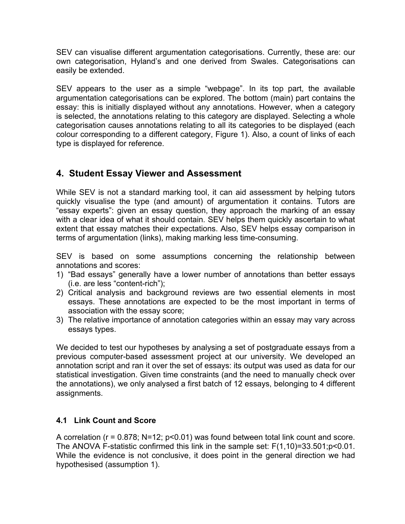SEV can visualise different argumentation categorisations. Currently, these are: our own categorisation, Hyland's and one derived from Swales. Categorisations can easily be extended.

SEV appears to the user as a simple "webpage". In its top part, the available argumentation categorisations can be explored. The bottom (main) part contains the essay: this is initially displayed without any annotations. However, when a category is selected, the annotations relating to this category are displayed. Selecting a whole categorisation causes annotations relating to all its categories to be displayed (each colour corresponding to a different category, Figure 1). Also, a count of links of each type is displayed for reference.

## **4. Student Essay Viewer and Assessment**

While SEV is not a standard marking tool, it can aid assessment by helping tutors quickly visualise the type (and amount) of argumentation it contains. Tutors are "essay experts": given an essay question, they approach the marking of an essay with a clear idea of what it should contain. SEV helps them quickly ascertain to what extent that essay matches their expectations. Also, SEV helps essay comparison in terms of argumentation (links), making marking less time-consuming.

SEV is based on some assumptions concerning the relationship between annotations and scores:

- 1) "Bad essays" generally have a lower number of annotations than better essays (i.e. are less "content-rich");
- 2) Critical analysis and background reviews are two essential elements in most essays. These annotations are expected to be the most important in terms of association with the essay score;
- 3) The relative importance of annotation categories within an essay may vary across essays types.

We decided to test our hypotheses by analysing a set of postgraduate essays from a previous computer-based assessment project at our university. We developed an annotation script and ran it over the set of essays: its output was used as data for our statistical investigation. Given time constraints (and the need to manually check over the annotations), we only analysed a first batch of 12 essays, belonging to 4 different assignments.

#### **4.1 Link Count and Score**

A correlation (r = 0.878; N=12; p<0.01) was found between total link count and score. The ANOVA F-statistic confirmed this link in the sample set: F(1,10)=33.501;p<0.01. While the evidence is not conclusive, it does point in the general direction we had hypothesised (assumption 1).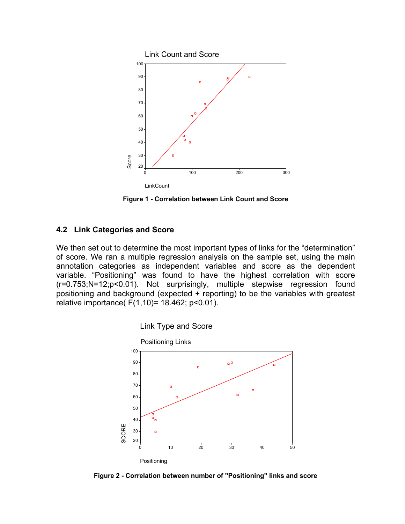

**Figure 1 - Correlation between Link Count and Score** 

#### **4.2 Link Categories and Score**

We then set out to determine the most important types of links for the "determination" of score. We ran a multiple regression analysis on the sample set, using the main annotation categories as independent variables and score as the dependent variable. "Positioning" was found to have the highest correlation with score (r=0.753;N=12;p<0.01). Not surprisingly, multiple stepwise regression found positioning and background (expected + reporting) to be the variables with greatest relative importance( F(1,10)= 18.462; p<0.01).



**Figure 2 - Correlation between number of "Positioning" links and score**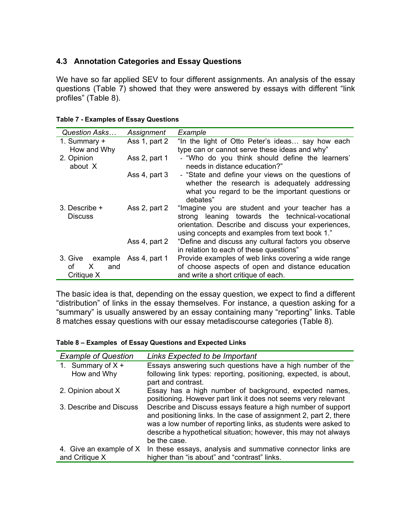#### **4.3 Annotation Categories and Essay Questions**

We have so far applied SEV to four different assignments. An analysis of the essay questions (Table 7) showed that they were answered by essays with different "link profiles" (Table 8).

| Question Asks                   | Assignment    | Example                                                                                                                                                                                                     |
|---------------------------------|---------------|-------------------------------------------------------------------------------------------------------------------------------------------------------------------------------------------------------------|
| 1. Summary +                    | Ass 1, part 2 | "In the light of Otto Peter's ideas say how each                                                                                                                                                            |
| How and Why                     |               | type can or cannot serve these ideas and why"                                                                                                                                                               |
| 2. Opinion<br>about X           | Ass 2, part 1 | - "Who do you think should define the learners"<br>needs in distance education?"                                                                                                                            |
|                                 | Ass 4, part 3 | - "State and define your views on the questions of                                                                                                                                                          |
|                                 |               | whether the research is adequately addressing                                                                                                                                                               |
|                                 |               | what you regard to be the important questions or<br>debates"                                                                                                                                                |
| 3. Describe +<br><b>Discuss</b> | Ass 2, part 2 | "Imagine you are student and your teacher has a<br>strong leaning towards the technical-vocational<br>orientation. Describe and discuss your experiences,<br>using concepts and examples from text book 1." |
|                                 | Ass 4, part 2 | "Define and discuss any cultural factors you observe<br>in relation to each of these questions"                                                                                                             |
| 3. Give example                 | Ass 4, part 1 | Provide examples of web links covering a wide range                                                                                                                                                         |
| οf<br>X.<br>and                 |               | of choose aspects of open and distance education                                                                                                                                                            |
| Critique X                      |               | and write a short critique of each.                                                                                                                                                                         |

|  | <b>Table 7 - Examples of Essay Questions</b> |  |  |
|--|----------------------------------------------|--|--|
|--|----------------------------------------------|--|--|

The basic idea is that, depending on the essay question, we expect to find a different "distribution" of links in the essay themselves. For instance, a question asking for a "summary" is usually answered by an essay containing many "reporting" links. Table 8 matches essay questions with our essay metadiscourse categories (Table 8).

#### **Table 8 – Examples of Essay Questions and Expected Links**

| <b>Example of Question</b> | Links Expected to be Important                                                                                                                                                                                                                                                         |
|----------------------------|----------------------------------------------------------------------------------------------------------------------------------------------------------------------------------------------------------------------------------------------------------------------------------------|
| 1. Summary of $X +$        | Essays answering such questions have a high number of the                                                                                                                                                                                                                              |
| How and Why                | following link types: reporting, positioning, expected, is about,<br>part and contrast.                                                                                                                                                                                                |
| 2. Opinion about X         | Essay has a high number of background, expected names,<br>positioning. However part link it does not seems very relevant                                                                                                                                                               |
| 3. Describe and Discuss    | Describe and Discuss essays feature a high number of support<br>and positioning links. In the case of assignment 2, part 2, there<br>was a low number of reporting links, as students were asked to<br>describe a hypothetical situation; however, this may not always<br>be the case. |
| 4. Give an example of X    | In these essays, analysis and summative connector links are                                                                                                                                                                                                                            |
| and Critique X             | higher than "is about" and "contrast" links.                                                                                                                                                                                                                                           |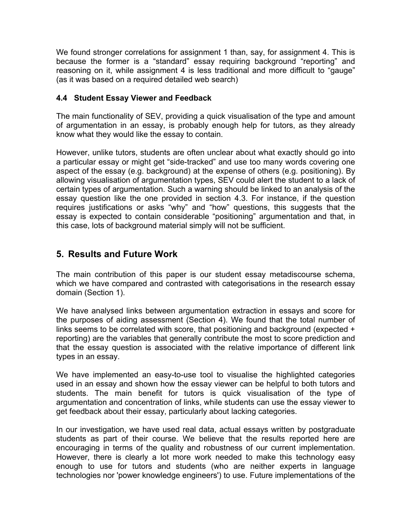We found stronger correlations for assignment 1 than, say, for assignment 4. This is because the former is a "standard" essay requiring background "reporting" and reasoning on it, while assignment 4 is less traditional and more difficult to "gauge" (as it was based on a required detailed web search)

#### **4.4 Student Essay Viewer and Feedback**

The main functionality of SEV, providing a quick visualisation of the type and amount of argumentation in an essay, is probably enough help for tutors, as they already know what they would like the essay to contain.

However, unlike tutors, students are often unclear about what exactly should go into a particular essay or might get "side-tracked" and use too many words covering one aspect of the essay (e.g. background) at the expense of others (e.g. positioning). By allowing visualisation of argumentation types, SEV could alert the student to a lack of certain types of argumentation. Such a warning should be linked to an analysis of the essay question like the one provided in section 4.3. For instance, if the question requires justifications or asks "why" and "how" questions, this suggests that the essay is expected to contain considerable "positioning" argumentation and that, in this case, lots of background material simply will not be sufficient.

## **5. Results and Future Work**

The main contribution of this paper is our student essay metadiscourse schema, which we have compared and contrasted with categorisations in the research essay domain (Section 1).

We have analysed links between argumentation extraction in essays and score for the purposes of aiding assessment (Section 4). We found that the total number of links seems to be correlated with score, that positioning and background (expected + reporting) are the variables that generally contribute the most to score prediction and that the essay question is associated with the relative importance of different link types in an essay.

We have implemented an easy-to-use tool to visualise the highlighted categories used in an essay and shown how the essay viewer can be helpful to both tutors and students. The main benefit for tutors is quick visualisation of the type of argumentation and concentration of links, while students can use the essay viewer to get feedback about their essay, particularly about lacking categories.

In our investigation, we have used real data, actual essays written by postgraduate students as part of their course. We believe that the results reported here are encouraging in terms of the quality and robustness of our current implementation. However, there is clearly a lot more work needed to make this technology easy enough to use for tutors and students (who are neither experts in language technologies nor 'power knowledge engineers') to use. Future implementations of the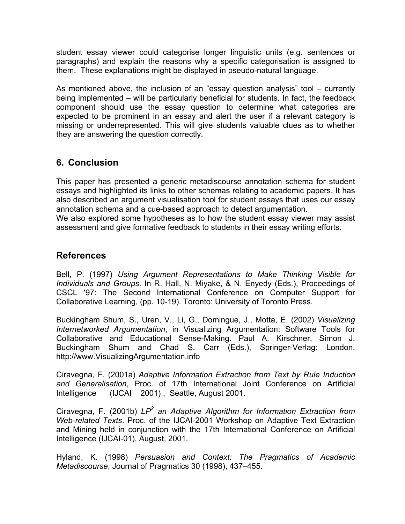student essay viewer could categorise longer linguistic units (e.g. sentences or paragraphs) and explain the reasons why a specific categorisation is assigned to them. These explanations might be displayed in pseudo-natural language.

As mentioned above, the inclusion of an "essay question analysis" tool – currently being implemented – will be particularly beneficial for students. In fact, the feedback component should use the essay question to determine what categories are expected to be prominent in an essay and alert the user if a relevant category is missing or underrepresented. This will give students valuable clues as to whether they are answering the question correctly.

## **6. Conclusion**

This paper has presented a generic metadiscourse annotation schema for student essays and highlighted its links to other schemas relating to academic papers. It has also described an argument visualisation tool for student essays that uses our essay annotation schema and a cue-based approach to detect argumentation.

We also explored some hypotheses as to how the student essay viewer may assist assessment and give formative feedback to students in their essay writing efforts.

### **References**

Bell, P. (1997) *Using Argument Representations to Make Thinking Visible for Individuals and Groups*. In R. Hall, N. Miyake, & N. Enyedy (Eds.), Proceedings of CSCL '97: The Second International Conference on Computer Support for Collaborative Learning, (pp. 10-19). Toronto: University of Toronto Press.

Buckingham Shum, S., Uren, V., Li, G., Domingue, J., Motta, E. (2002) *Visualizing Internetworked Argumentation*, in Visualizing Argumentation: Software Tools for Collaborative and Educational Sense-Making. Paul A. Kirschner, Simon J. Buckingham Shum and Chad S. Carr (Eds.), Springer-Verlag: London. http://www.VisualizingArgumentation.info

Ciravegna, F. (2001a) *Adaptive Information Extraction from Text by Rule Induction and Generalisation*, Proc. of 17th International Joint Conference on Artificial Intelligence (IJCAI 2001) , Seattle, August 2001.

Ciravegna, F. (2001b) LP<sup>2</sup> an Adaptive Algorithm for Information Extraction from *Web-related Texts*. Proc. of the IJCAI-2001 Workshop on Adaptive Text Extraction and Mining held in conjunction with the 17th International Conference on Artificial Intelligence (IJCAI-01), August, 2001.

Hyland, K. (1998) *Persuasion and Context: The Pragmatics of Academic Metadiscourse*, Journal of Pragmatics 30 (1998), 437–455.